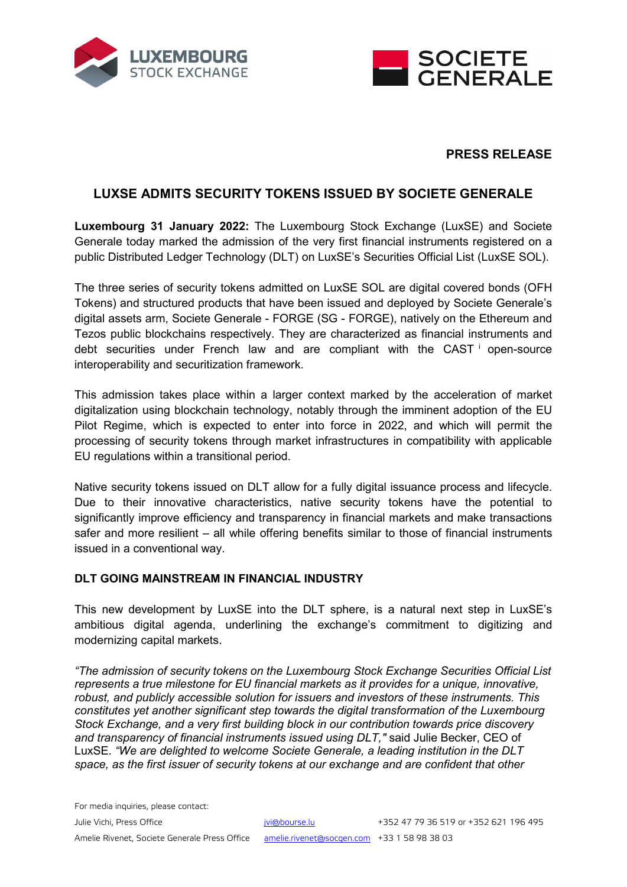



# **PRESS RELEASE**

# **LUXSE ADMITS SECURITY TOKENS ISSUED BY SOCIETE GENERALE**

**Luxembourg 31 January 2022:** The Luxembourg Stock Exchange (LuxSE) and Societe Generale today marked the admission of the very first financial instruments registered on a public Distributed Ledger Technology (DLT) on LuxSE's Securities Official List (LuxSE SOL).

The three series of security tokens admitted on LuxSE SOL are digital covered bonds (OFH Tokens) and structured products that have been issued and deployed by Societe Generale's digital assets arm, Societe Generale - FORGE (SG - FORGE), natively on the Ethereum and Tezos public blockchains respectively. They are characterized as financial instruments and debt secur[i](#page-2-0)ties under French law and are compliant with the CAST  $\dot{ }$  open-source interoperability and securitization framework.

This admission takes place within a larger context marked by the acceleration of market digitalization using blockchain technology, notably through the imminent adoption of the EU Pilot Regime, which is expected to enter into force in 2022, and which will permit the processing of security tokens through market infrastructures in compatibility with applicable EU regulations within a transitional period.

Native security tokens issued on DLT allow for a fully digital issuance process and lifecycle. Due to their innovative characteristics, native security tokens have the potential to significantly improve efficiency and transparency in financial markets and make transactions safer and more resilient – all while offering benefits similar to those of financial instruments issued in a conventional way.

### **DLT GOING MAINSTREAM IN FINANCIAL INDUSTRY**

This new development by LuxSE into the DLT sphere, is a natural next step in LuxSE's ambitious digital agenda, underlining the exchange's commitment to digitizing and modernizing capital markets.

*"The admission of security tokens on the Luxembourg Stock Exchange Securities Official List represents a true milestone for EU financial markets as it provides for a unique, innovative, robust, and publicly accessible solution for issuers and investors of these instruments. This constitutes yet another significant step towards the digital transformation of the Luxembourg Stock Exchange, and a very first building block in our contribution towards price discovery and transparency of financial instruments issued using DLT,"* said Julie Becker, CEO of LuxSE. *"We are delighted to welcome Societe Generale, a leading institution in the DLT space, as the first issuer of security tokens at our exchange and are confident that other*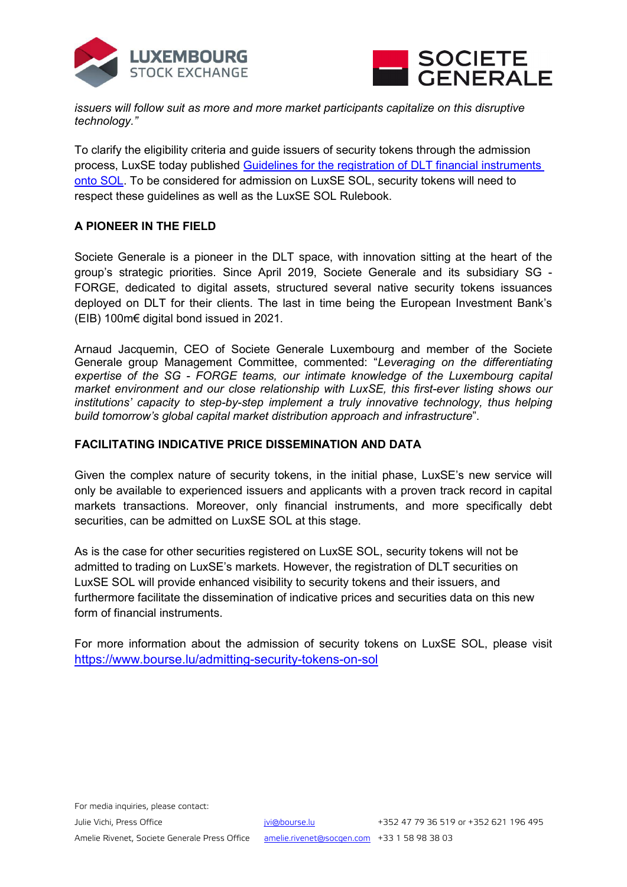



*issuers will follow suit as more and more market participants capitalize on this disruptive technology."*

To clarify the eligibility criteria and guide issuers of security tokens through the admission process, LuxSE today published [Guidelines for the registration of DLT financial instruments](https://www.bourse.lu/admitting-security-tokens-on-sol)  [onto SOL.](https://www.bourse.lu/admitting-security-tokens-on-sol) To be considered for admission on LuxSE SOL, security tokens will need to respect these guidelines as well as the LuxSE SOL Rulebook.

## **A PIONEER IN THE FIELD**

Societe Generale is a pioneer in the DLT space, with innovation sitting at the heart of the group's strategic priorities. Since April 2019, Societe Generale and its subsidiary SG - FORGE, dedicated to digital assets, structured several native security tokens issuances deployed on DLT for their clients. The last in time being the European Investment Bank's (EIB) 100m€ digital bond issued in 2021.

Arnaud Jacquemin, CEO of Societe Generale Luxembourg and member of the Societe Generale group Management Committee, commented: "*Leveraging on the differentiating expertise of the SG - FORGE teams, our intimate knowledge of the Luxembourg capital market environment and our close relationship with LuxSE, this first-ever listing shows our institutions' capacity to step-by-step implement a truly innovative technology, thus helping build tomorrow's global capital market distribution approach and infrastructure*".

## **FACILITATING INDICATIVE PRICE DISSEMINATION AND DATA**

Given the complex nature of security tokens, in the initial phase, LuxSE's new service will only be available to experienced issuers and applicants with a proven track record in capital markets transactions. Moreover, only financial instruments, and more specifically debt securities, can be admitted on LuxSE SOL at this stage.

As is the case for other securities registered on LuxSE SOL, security tokens will not be admitted to trading on LuxSE's markets. However, the registration of DLT securities on LuxSE SOL will provide enhanced visibility to security tokens and their issuers, and furthermore facilitate the dissemination of indicative prices and securities data on this new form of financial instruments.

For more information about the admission of security tokens on LuxSE SOL, please visit <https://www.bourse.lu/admitting-security-tokens-on-sol>